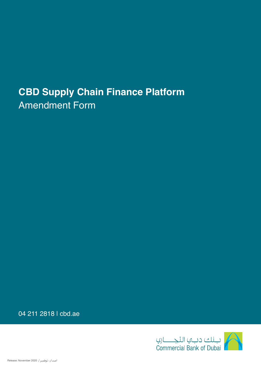# **CBD Supply Chain Finance Platform** Amendment Form

04 211 2818 | cbd.ae

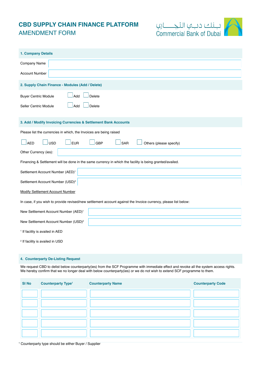# **CBD SUPPLY CHAIN FINANCE PLATFORM** AMENDMENT FORM



| 1. Company Details                                                                                              |  |  |  |  |
|-----------------------------------------------------------------------------------------------------------------|--|--|--|--|
| Company Name                                                                                                    |  |  |  |  |
| <b>Account Number</b>                                                                                           |  |  |  |  |
| 2. Supply Chain Finance - Modules (Add / Delete)                                                                |  |  |  |  |
| Delete<br><b>Buyer Centric Module</b><br>Add                                                                    |  |  |  |  |
| Seller Centric Module<br>Add<br>Delete                                                                          |  |  |  |  |
| 3. Add / Modify Invoicing Currencies & Settlement Bank Accounts                                                 |  |  |  |  |
| Please list the currencies in which, the Invoices are being raised                                              |  |  |  |  |
| <b>USD</b><br><b>EUR</b><br>SAR<br><b>AED</b><br><b>GBP</b><br>Others (please specify)                          |  |  |  |  |
| Other Currency (ies):                                                                                           |  |  |  |  |
| Financing & Settlement will be done in the same currency in which the facility is being granted/availed.        |  |  |  |  |
| Settlement Account Number (AED) <sup>1</sup>                                                                    |  |  |  |  |
| Settlement Account Number (USD) <sup>2</sup>                                                                    |  |  |  |  |
| <b>Modify Settlement Account Number</b>                                                                         |  |  |  |  |
| In case, if you wish to provide revised/new settlement account against the Invoice currency, please list below: |  |  |  |  |
| New Settlement Account Number (AED) <sup>1</sup>                                                                |  |  |  |  |
| New Settlement Account Number (USD) <sup>2</sup>                                                                |  |  |  |  |
| <sup>1</sup> If facility is availed in AED                                                                      |  |  |  |  |
| <sup>2</sup> If facility is availed in USD                                                                      |  |  |  |  |

## **4. Counterparty De-Listing Request**

We request CBD to delist below counterparty(ies) from the SCF Programme with immediate effect and revoke all the system access rights. We hereby confirm that we no longer deal with below counterparty(ies) or we do not wish to extend SCF programme to them.

| <b>SI No</b> | <b>Counterparty Type<sup>1</sup></b> | <b>Counterparty Name</b> | <b>Counterparty Code</b> |
|--------------|--------------------------------------|--------------------------|--------------------------|
|              |                                      |                          |                          |
|              |                                      |                          |                          |
|              |                                      |                          |                          |
|              |                                      |                          |                          |
|              |                                      |                          |                          |

1 Counterparty type should be either Buyer / Supplier